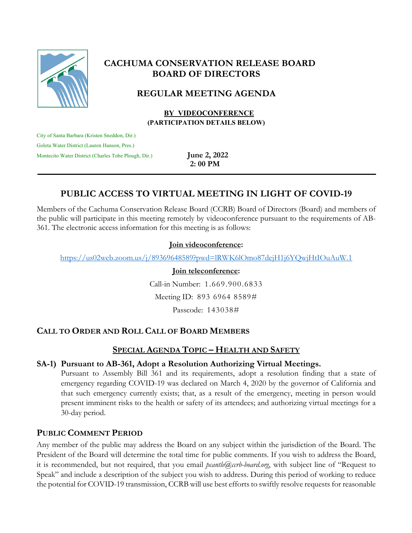

# **CACHUMA CONSERVATION RELEASE BOARD BOARD OF DIRECTORS**

# **REGULAR MEETING AGENDA**

 **BY VIDEOCONFERENCE (PARTICIPATION DETAILS BELOW)**

City of Santa Barbara (Kristen Sneddon, Dir.) Goleta Water District (Lauren Hanson, Pres.) Montecito Water District (Charles Tobe Plough, Dir.) **June 2, 2022** 

**2: 00 PM**

# **PUBLIC ACCESS TO VIRTUAL MEETING IN LIGHT OF COVID-19**

Members of the Cachuma Conservation Release Board (CCRB) Board of Directors (Board) and members of the public will participate in this meeting remotely by videoconference pursuant to the requirements of AB-361. The electronic access information for this meeting is as follows:

### **Join videoconference:**

https://us02web.zoom.us/j/89369648589?pwd=lRWK6lOmo87dejH1j6YQwjHtIOuAuW.1

#### **Join teleconference:**

Call-in Number: 1.669.900.6833 Meeting ID: 893 6964 8589#

Passcode: 143038#

# **CALL TO ORDER AND ROLL CALL OF BOARD MEMBERS**

# **SPECIAL AGENDA TOPIC – HEALTH AND SAFETY**

## **SA-1) Pursuant to AB-361, Adopt a Resolution Authorizing Virtual Meetings.**

Pursuant to Assembly Bill 361 and its requirements, adopt a resolution finding that a state of emergency regarding COVID-19 was declared on March 4, 2020 by the governor of California and that such emergency currently exists; that, as a result of the emergency, meeting in person would present imminent risks to the health or safety of its attendees; and authorizing virtual meetings for a 30-day period.

## **PUBLIC COMMENT PERIOD**

Any member of the public may address the Board on any subject within the jurisdiction of the Board. The President of the Board will determine the total time for public comments. If you wish to address the Board, it is recommended, but not required, that you email *pcantle@ccrb-board.org*, with subject line of "Request to Speak" and include a description of the subject you wish to address. During this period of working to reduce the potential for COVID-19 transmission, CCRB will use best efforts to swiftly resolve requests for reasonable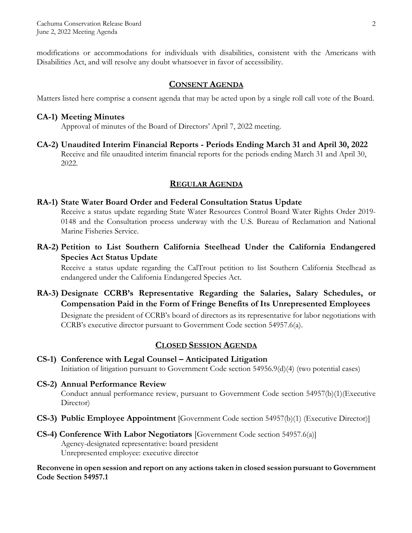modifications or accommodations for individuals with disabilities, consistent with the Americans with Disabilities Act, and will resolve any doubt whatsoever in favor of accessibility.

## **CONSENT AGENDA**

Matters listed here comprise a consent agenda that may be acted upon by a single roll call vote of the Board.

### **CA-1) Meeting Minutes**

Approval of minutes of the Board of Directors' April 7, 2022 meeting.

**CA-2) Unaudited Interim Financial Reports - Periods Ending March 31 and April 30, 2022** Receive and file unaudited interim financial reports for the periods ending March 31 and April 30, 2022.

## **REGULAR AGENDA**

#### **RA-1) State Water Board Order and Federal Consultation Status Update**

Receive a status update regarding State Water Resources Control Board Water Rights Order 2019- 0148 and the Consultation process underway with the U.S. Bureau of Reclamation and National Marine Fisheries Service.

**RA-2) Petition to List Southern California Steelhead Under the California Endangered Species Act Status Update**

Receive a status update regarding the CalTrout petition to list Southern California Steelhead as endangered under the California Endangered Species Act.

**RA-3) Designate CCRB's Representative Regarding the Salaries, Salary Schedules, or Compensation Paid in the Form of Fringe Benefits of Its Unrepresented Employees**

Designate the president of CCRB's board of directors as its representative for labor negotiations with CCRB's executive director pursuant to Government Code section 54957.6(a).

## **CLOSED SESSION AGENDA**

**CS-1) Conference with Legal Counsel – Anticipated Litigation**  Initiation of litigation pursuant to Government Code section 54956.9(d)(4) (two potential cases)

# **CS-2) Annual Performance Review**

Conduct annual performance review, pursuant to Government Code section 54957(b)(1)(Executive Director)

- **CS-3) Public Employee Appointment** [Government Code section 54957(b)(1) (Executive Director)]
- **CS-4) Conference With Labor Negotiators** [Government Code section 54957.6(a)] Agency-designated representative: board president Unrepresented employee: executive director

#### **Reconvene in open session and report on any actions taken in closed session pursuant to Government Code Section 54957.1**